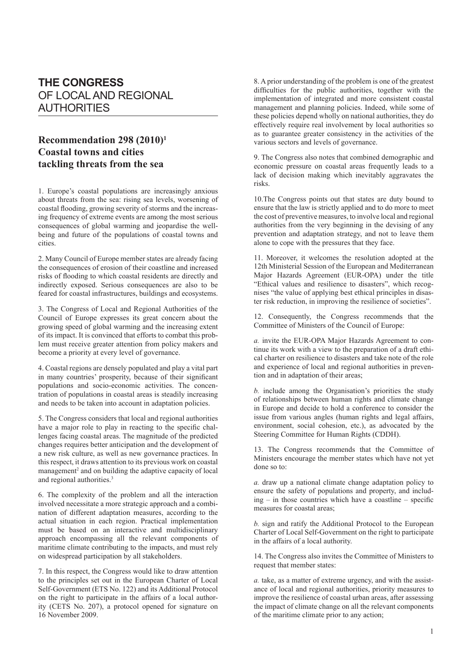## **THE CONGRESS** OF LOCAL AND REGIONAL AUTHORITIES

## **Recommendation 298 (2010)1 Coastal towns and cities tackling threats from the sea**

1. Europe's coastal populations are increasingly anxious about threats from the sea: rising sea levels, worsening of coastal flooding, growing severity of storms and the increasing frequency of extreme events are among the most serious consequences of global warming and jeopardise the wellbeing and future of the populations of coastal towns and cities.

2. Many Council of Europe member states are already facing the consequences of erosion of their coastline and increased risks of flooding to which coastal residents are directly and indirectly exposed. Serious consequences are also to be feared for coastal infrastructures, buildings and ecosystems.

3. The Congress of Local and Regional Authorities of the Council of Europe expresses its great concern about the growing speed of global warming and the increasing extent of its impact. It is convinced that efforts to combat this problem must receive greater attention from policy makers and become a priority at every level of governance.

4. Coastal regions are densely populated and play a vital part in many countries' prosperity, because of their significant populations and socio-economic activities. The concentration of populations in coastal areas is steadily increasing and needs to be taken into account in adaptation policies.

5. The Congress considers that local and regional authorities have a major role to play in reacting to the specific challenges facing coastal areas. The magnitude of the predicted changes requires better anticipation and the development of a new risk culture, as well as new governance practices. In this respect, it draws attention to its previous work on coastal management<sup>2</sup> and on building the adaptive capacity of local and regional authorities.<sup>3</sup>

6. The complexity of the problem and all the interaction involved necessitate a more strategic approach and a combination of different adaptation measures, according to the actual situation in each region. Practical implementation must be based on an interactive and multidisciplinary approach encompassing all the relevant components of maritime climate contributing to the impacts, and must rely on widespread participation by all stakeholders.

7. In this respect, the Congress would like to draw attention to the principles set out in the European Charter of Local Self-Government (ETS No. 122) and its Additional Protocol on the right to participate in the affairs of a local authority (CETS No. 207), a protocol opened for signature on 16 November 2009.

8. A prior understanding of the problem is one of the greatest difficulties for the public authorities, together with the implementation of integrated and more consistent coastal management and planning policies. Indeed, while some of these policies depend wholly on national authorities, they do effectively require real involvement by local authorities so as to guarantee greater consistency in the activities of the various sectors and levels of governance.

9. The Congress also notes that combined demographic and economic pressure on coastal areas frequently leads to a lack of decision making which inevitably aggravates the risks.

10.The Congress points out that states are duty bound to ensure that the law is strictly applied and to do more to meet the cost of preventive measures, to involve local and regional authorities from the very beginning in the devising of any prevention and adaptation strategy, and not to leave them alone to cope with the pressures that they face.

11. Moreover, it welcomes the resolution adopted at the 12th Ministerial Session of the European and Mediterranean Major Hazards Agreement (EUR-OPA) under the title "Ethical values and resilience to disasters", which recognises "the value of applying best ethical principles in disaster risk reduction, in improving the resilience of societies".

12. Consequently, the Congress recommends that the Committee of Ministers of the Council of Europe:

*a.* invite the EUR-OPA Major Hazards Agreement to continue its work with a view to the preparation of a draft ethical charter on resilience to disasters and take note of the role and experience of local and regional authorities in prevention and in adaptation of their areas;

*b.* include among the Organisation's priorities the study of relationships between human rights and climate change in Europe and decide to hold a conference to consider the issue from various angles (human rights and legal affairs, environment, social cohesion, etc.), as advocated by the Steering Committee for Human Rights (CDDH).

13. The Congress recommends that the Committee of Ministers encourage the member states which have not yet done so to:

*a.* draw up a national climate change adaptation policy to ensure the safety of populations and property, and includ $ine - in those countries which have a coastline - specific$ measures for coastal areas;

*b.* sign and ratify the Additional Protocol to the European Charter of Local Self-Government on the right to participate in the affairs of a local authority.

14. The Congress also invites the Committee of Ministers to request that member states:

*a.* take, as a matter of extreme urgency, and with the assistance of local and regional authorities, priority measures to improve the resilience of coastal urban areas, after assessing the impact of climate change on all the relevant components of the maritime climate prior to any action;